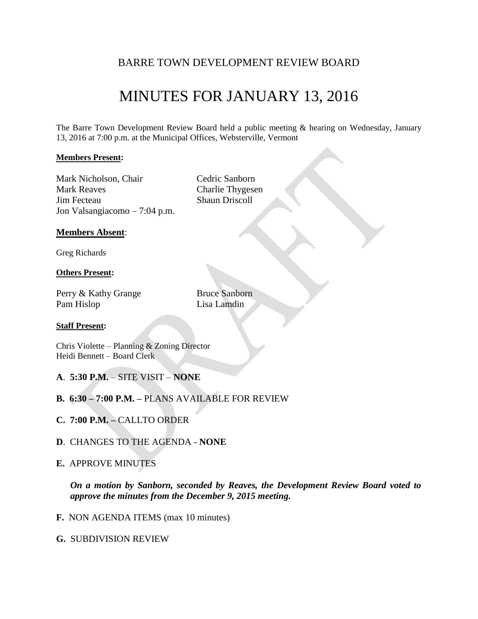### BARRE TOWN DEVELOPMENT REVIEW BOARD

# MINUTES FOR JANUARY 13, 2016

The Barre Town Development Review Board held a public meeting & hearing on Wednesday, January 13, 2016 at 7:00 p.m. at the Municipal Offices, Websterville, Vermont

#### **Members Present:**

Mark Nicholson, Chair Cedric Sanborn Mark Reaves Charlie Thygesen Jim Fecteau Shaun Driscoll Jon Valsangiacomo – 7:04 p.m.

#### **Members Absent**:

Greg Richards

#### **Others Present:**

Perry & Kathy Grange Bruce Sanborn Pam Hislop Lisa Lamdin

#### **Staff Present:**

Chris Violette – Planning & Zoning Director Heidi Bennett – Board Clerk

- **A**. **5:30 P.M.** SITE VISIT **NONE**
- **B. 6:30 – 7:00 P.M. –** PLANS AVAILABLE FOR REVIEW
- **C. 7:00 P.M. –** CALLTO ORDER
- **D**. CHANGES TO THE AGENDA **NONE**
- **E.** APPROVE MINUTES

*On a motion by Sanborn, seconded by Reaves, the Development Review Board voted to approve the minutes from the December 9, 2015 meeting.* 

- **F.** NON AGENDA ITEMS (max 10 minutes)
- **G.** SUBDIVISION REVIEW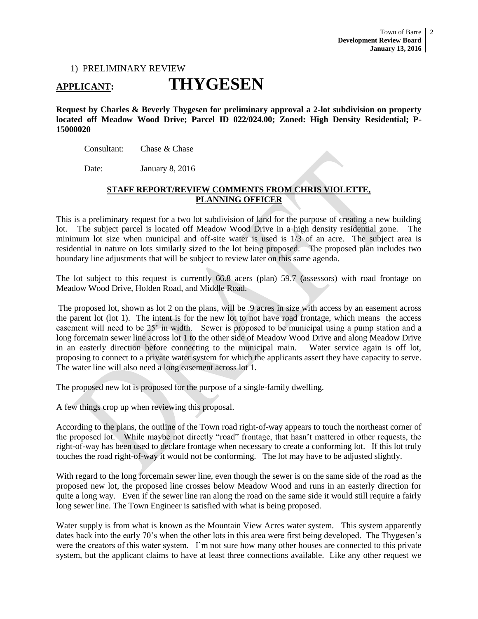#### 1) PRELIMINARY REVIEW

### **APPLICANT: THYGESEN**

**Request by Charles & Beverly Thygesen for preliminary approval a 2-lot subdivision on property located off Meadow Wood Drive; Parcel ID 022/024.00; Zoned: High Density Residential; P-15000020**

Consultant: Chase & Chase

Date: January 8, 2016

#### **STAFF REPORT/REVIEW COMMENTS FROM CHRIS VIOLETTE, PLANNING OFFICER**

This is a preliminary request for a two lot subdivision of land for the purpose of creating a new building lot. The subject parcel is located off Meadow Wood Drive in a high density residential zone. The minimum lot size when municipal and off-site water is used is 1/3 of an acre. The subject area is residential in nature on lots similarly sized to the lot being proposed. The proposed plan includes two boundary line adjustments that will be subject to review later on this same agenda.

The lot subject to this request is currently 66.8 acers (plan) 59.7 (assessors) with road frontage on Meadow Wood Drive, Holden Road, and Middle Road.

The proposed lot, shown as lot 2 on the plans, will be .9 acres in size with access by an easement across the parent lot (lot 1). The intent is for the new lot to not have road frontage, which means the access easement will need to be 25' in width. Sewer is proposed to be municipal using a pump station and a long forcemain sewer line across lot 1 to the other side of Meadow Wood Drive and along Meadow Drive in an easterly direction before connecting to the municipal main. Water service again is off lot, proposing to connect to a private water system for which the applicants assert they have capacity to serve. The water line will also need a long easement across lot 1.

The proposed new lot is proposed for the purpose of a single-family dwelling.

A few things crop up when reviewing this proposal.

According to the plans, the outline of the Town road right-of-way appears to touch the northeast corner of the proposed lot. While maybe not directly "road" frontage, that hasn't mattered in other requests, the right-of-way has been used to declare frontage when necessary to create a conforming lot. If this lot truly touches the road right-of-way it would not be conforming. The lot may have to be adjusted slightly.

With regard to the long forcemain sewer line, even though the sewer is on the same side of the road as the proposed new lot, the proposed line crosses below Meadow Wood and runs in an easterly direction for quite a long way. Even if the sewer line ran along the road on the same side it would still require a fairly long sewer line. The Town Engineer is satisfied with what is being proposed.

Water supply is from what is known as the Mountain View Acres water system. This system apparently dates back into the early 70's when the other lots in this area were first being developed. The Thygesen's were the creators of this water system. I'm not sure how many other houses are connected to this private system, but the applicant claims to have at least three connections available. Like any other request we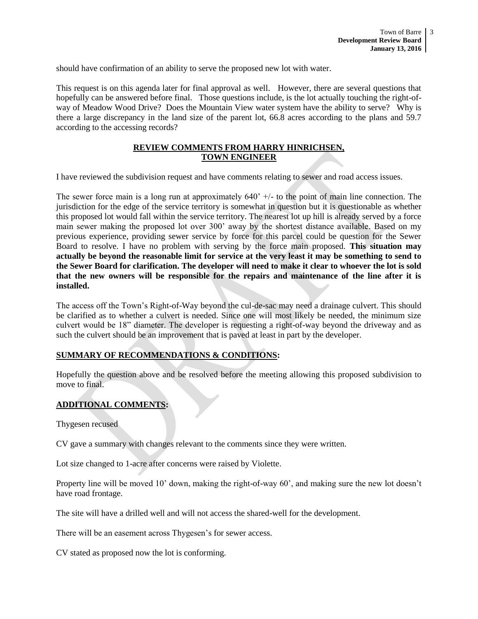should have confirmation of an ability to serve the proposed new lot with water.

This request is on this agenda later for final approval as well. However, there are several questions that hopefully can be answered before final. Those questions include, is the lot actually touching the right-ofway of Meadow Wood Drive? Does the Mountain View water system have the ability to serve? Why is there a large discrepancy in the land size of the parent lot, 66.8 acres according to the plans and 59.7 according to the accessing records?

#### **REVIEW COMMENTS FROM HARRY HINRICHSEN, TOWN ENGINEER**

I have reviewed the subdivision request and have comments relating to sewer and road access issues.

The sewer force main is a long run at approximately  $640'$  +/- to the point of main line connection. The jurisdiction for the edge of the service territory is somewhat in question but it is questionable as whether this proposed lot would fall within the service territory. The nearest lot up hill is already served by a force main sewer making the proposed lot over 300' away by the shortest distance available. Based on my previous experience, providing sewer service by force for this parcel could be question for the Sewer Board to resolve. I have no problem with serving by the force main proposed. **This situation may actually be beyond the reasonable limit for service at the very least it may be something to send to the Sewer Board for clarification. The developer will need to make it clear to whoever the lot is sold that the new owners will be responsible for the repairs and maintenance of the line after it is installed.**

The access off the Town's Right-of-Way beyond the cul-de-sac may need a drainage culvert. This should be clarified as to whether a culvert is needed. Since one will most likely be needed, the minimum size culvert would be 18" diameter. The developer is requesting a right-of-way beyond the driveway and as such the culvert should be an improvement that is paved at least in part by the developer.

#### **SUMMARY OF RECOMMENDATIONS & CONDITIONS:**

Hopefully the question above and be resolved before the meeting allowing this proposed subdivision to move to final.

#### **ADDITIONAL COMMENTS:**

Thygesen recused

CV gave a summary with changes relevant to the comments since they were written.

Lot size changed to 1-acre after concerns were raised by Violette.

Property line will be moved 10' down, making the right-of-way 60', and making sure the new lot doesn't have road frontage.

The site will have a drilled well and will not access the shared-well for the development.

There will be an easement across Thygesen's for sewer access.

CV stated as proposed now the lot is conforming.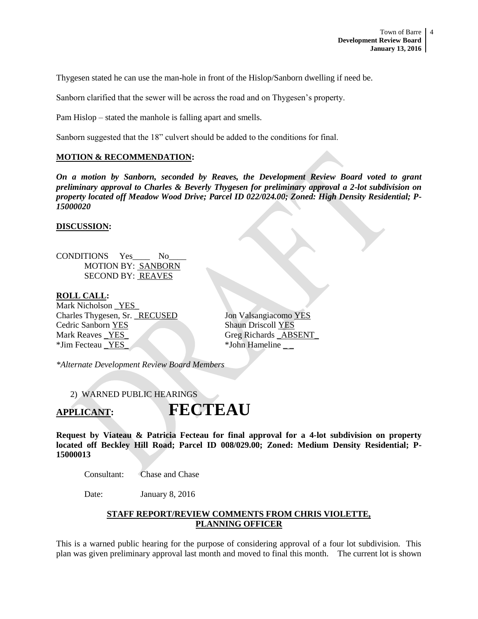Thygesen stated he can use the man-hole in front of the Hislop/Sanborn dwelling if need be.

Sanborn clarified that the sewer will be across the road and on Thygesen's property.

Pam Hislop – stated the manhole is falling apart and smells.

Sanborn suggested that the 18" culvert should be added to the conditions for final.

#### **MOTION & RECOMMENDATION:**

*On a motion by Sanborn, seconded by Reaves, the Development Review Board voted to grant preliminary approval to Charles & Beverly Thygesen for preliminary approval a 2-lot subdivision on property located off Meadow Wood Drive; Parcel ID 022/024.00; Zoned: High Density Residential; P-15000020*

#### **DISCUSSION:**

CONDITIONS Yes\_\_\_\_ No\_\_\_\_ MOTION BY: SANBORN SECOND BY: REAVES

#### **ROLL CALL:**

Mark Nicholson \_YES\_ Charles Thygesen, Sr. RECUSED Jon Valsangiacomo YES **Cedric Sanborn YES** Shaun Driscoll YES Mark Reaves <u>YES</u> Greg Richards **\_ABSENT** \*Jim Fecteau \_YES\_ \*John Hameline \_ \_

*\*Alternate Development Review Board Members*

2) WARNED PUBLIC HEARINGS

**APPLICANT: FECTEAU**

**Request by Viateau & Patricia Fecteau for final approval for a 4-lot subdivision on property located off Beckley Hill Road; Parcel ID 008/029.00; Zoned: Medium Density Residential; P-15000013**

Consultant: Chase and Chase

Date: January 8, 2016

#### **STAFF REPORT/REVIEW COMMENTS FROM CHRIS VIOLETTE, PLANNING OFFICER**

This is a warned public hearing for the purpose of considering approval of a four lot subdivision. This plan was given preliminary approval last month and moved to final this month. The current lot is shown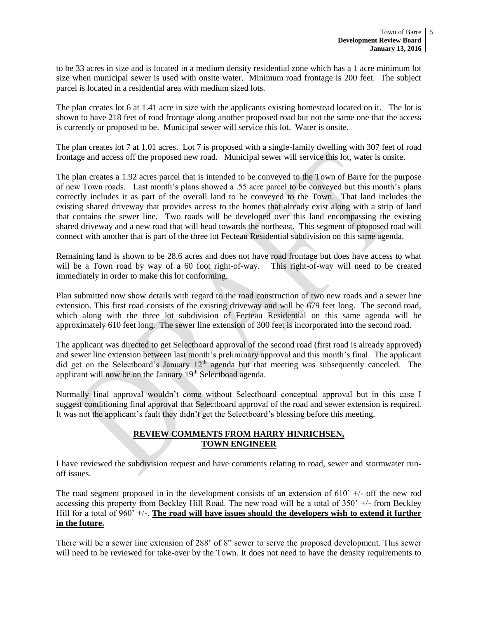to be 33 acres in size and is located in a medium density residential zone which has a 1 acre minimum lot size when municipal sewer is used with onsite water. Minimum road frontage is 200 feet. The subject parcel is located in a residential area with medium sized lots.

The plan creates lot 6 at 1.41 acre in size with the applicants existing homestead located on it. The lot is shown to have 218 feet of road frontage along another proposed road but not the same one that the access is currently or proposed to be. Municipal sewer will service this lot. Water is onsite.

The plan creates lot 7 at 1.01 acres. Lot 7 is proposed with a single-family dwelling with 307 feet of road frontage and access off the proposed new road. Municipal sewer will service this lot, water is onsite.

The plan creates a 1.92 acres parcel that is intended to be conveyed to the Town of Barre for the purpose of new Town roads. Last month's plans showed a .55 acre parcel to be conveyed but this month's plans correctly includes it as part of the overall land to be conveyed to the Town. That land includes the existing shared driveway that provides access to the homes that already exist along with a strip of land that contains the sewer line. Two roads will be developed over this land encompassing the existing shared driveway and a new road that will head towards the northeast. This segment of proposed road will connect with another that is part of the three lot Fecteau Residential subdivision on this same agenda.

Remaining land is shown to be 28.6 acres and does not have road frontage but does have access to what will be a Town road by way of a 60 foot right-of-way. This right-of-way will need to be created will be a Town road by way of a  $60$  foot right-of-way. immediately in order to make this lot conforming.

Plan submitted now show details with regard to the road construction of two new roads and a sewer line extension. This first road consists of the existing driveway and will be 679 feet long. The second road, which along with the three lot subdivision of Fecteau Residential on this same agenda will be approximately 610 feet long. The sewer line extension of 300 feet is incorporated into the second road.

The applicant was directed to get Selectboard approval of the second road (first road is already approved) and sewer line extension between last month's preliminary approval and this month's final. The applicant did get on the Selectboard's January 12<sup>th</sup> agenda but that meeting was subsequently canceled. The applicant will now be on the January  $19<sup>th</sup>$  Selectboad agenda.

Normally final approval wouldn't come without Selectboard conceptual approval but in this case I suggest conditioning final approval that Selectboard approval of the road and sewer extension is required. It was not the applicant's fault they didn't get the Selectboard's blessing before this meeting.

#### **REVIEW COMMENTS FROM HARRY HINRICHSEN, TOWN ENGINEER**

I have reviewed the subdivision request and have comments relating to road, sewer and stormwater runoff issues.

The road segment proposed in in the development consists of an extension of  $610'$  +/- off the new rod accessing this property from Beckley Hill Road. The new road will be a total of 350' +/- from Beckley Hill for a total of 960' +/-. **The road will have issues should the developers wish to extend it further in the future.**

There will be a sewer line extension of 288' of 8" sewer to serve the proposed development. This sewer will need to be reviewed for take-over by the Town. It does not need to have the density requirements to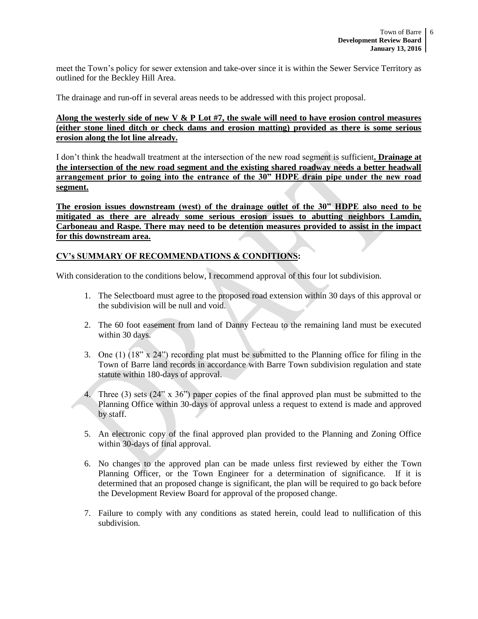meet the Town's policy for sewer extension and take-over since it is within the Sewer Service Territory as outlined for the Beckley Hill Area.

The drainage and run-off in several areas needs to be addressed with this project proposal.

#### **Along the westerly side of new V & P Lot #7, the swale will need to have erosion control measures (either stone lined ditch or check dams and erosion matting) provided as there is some serious erosion along the lot line already.**

I don't think the headwall treatment at the intersection of the new road segment is sufficient**. Drainage at the intersection of the new road segment and the existing shared roadway needs a better headwall arrangement prior to going into the entrance of the 30" HDPE drain pipe under the new road segment.**

**The erosion issues downstream (west) of the drainage outlet of the 30" HDPE also need to be mitigated as there are already some serious erosion issues to abutting neighbors Lamdin, Carboneau and Raspe. There may need to be detention measures provided to assist in the impact for this downstream area.**

#### **CV's SUMMARY OF RECOMMENDATIONS & CONDITIONS:**

With consideration to the conditions below, I recommend approval of this four lot subdivision.

- 1. The Selectboard must agree to the proposed road extension within 30 days of this approval or the subdivision will be null and void.
- 2. The 60 foot easement from land of Danny Fecteau to the remaining land must be executed within 30 days.
- 3. One (1)  $(18^{\circ} \times 24^{\circ})$  recording plat must be submitted to the Planning office for filing in the Town of Barre land records in accordance with Barre Town subdivision regulation and state statute within 180-days of approval.
- 4. Three (3) sets (24" x 36") paper copies of the final approved plan must be submitted to the Planning Office within 30-days of approval unless a request to extend is made and approved by staff.
- 5. An electronic copy of the final approved plan provided to the Planning and Zoning Office within 30-days of final approval.
- 6. No changes to the approved plan can be made unless first reviewed by either the Town Planning Officer, or the Town Engineer for a determination of significance. If it is determined that an proposed change is significant, the plan will be required to go back before the Development Review Board for approval of the proposed change.
- 7. Failure to comply with any conditions as stated herein, could lead to nullification of this subdivision.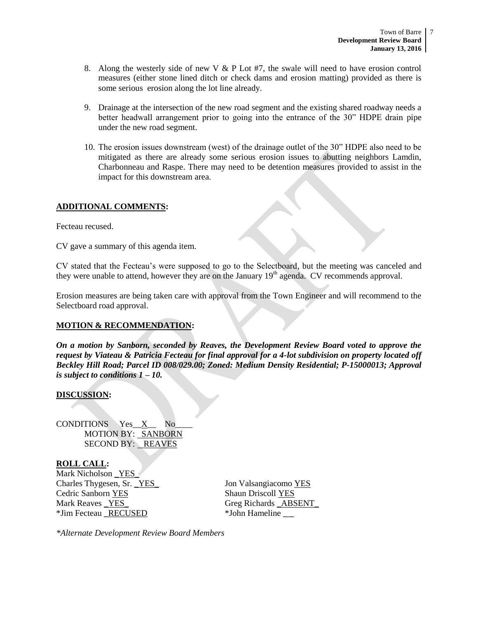- 8. Along the westerly side of new V  $&$  P Lot #7, the swale will need to have erosion control measures (either stone lined ditch or check dams and erosion matting) provided as there is some serious erosion along the lot line already.
- 9. Drainage at the intersection of the new road segment and the existing shared roadway needs a better headwall arrangement prior to going into the entrance of the 30" HDPE drain pipe under the new road segment.
- 10. The erosion issues downstream (west) of the drainage outlet of the 30" HDPE also need to be mitigated as there are already some serious erosion issues to abutting neighbors Lamdin, Charbonneau and Raspe. There may need to be detention measures provided to assist in the impact for this downstream area.

#### **ADDITIONAL COMMENTS:**

Fecteau recused.

CV gave a summary of this agenda item.

CV stated that the Fecteau's were supposed to go to the Selectboard, but the meeting was canceled and they were unable to attend, however they are on the January  $19<sup>th</sup>$  agenda. CV recommends approval.

Erosion measures are being taken care with approval from the Town Engineer and will recommend to the Selectboard road approval.

#### **MOTION & RECOMMENDATION:**

*On a motion by Sanborn, seconded by Reaves, the Development Review Board voted to approve the request by Viateau & Patricia Fecteau for final approval for a 4-lot subdivision on property located off Beckley Hill Road; Parcel ID 008/029.00; Zoned: Medium Density Residential; P-15000013; Approval is subject to conditions 1 – 10.*

#### **DISCUSSION:**

CONDITIONS Yes\_\_X\_\_ No\_\_\_\_ MOTION BY: SANBORN SECOND BY: REAVES

**ROLL CALL:** Mark Nicholson \_YES\_ Charles Thygesen, Sr. \_YES\_ Jon Valsangiacomo YES Cedric Sanborn YES Shaun Driscoll YES Mark Reaves \_YES\_ Greg Richards \_ABSENT\_ \*Jim Fecteau \_RECUSED \*John Hameline \_ \_

*\*Alternate Development Review Board Members*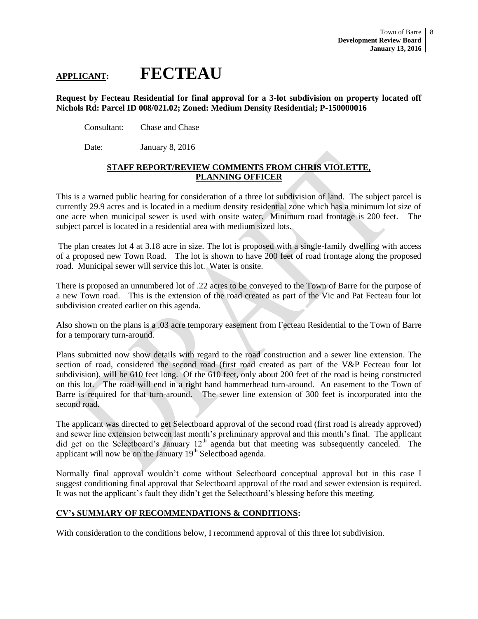Town of Barre 8 **Development Review Board January 13, 2016**

### **APPLICANT: FECTEAU**

**Request by Fecteau Residential for final approval for a 3-lot subdivision on property located off Nichols Rd: Parcel ID 008/021.02; Zoned: Medium Density Residential; P-150000016** 

Consultant: Chase and Chase

Date: January 8, 2016

#### **STAFF REPORT/REVIEW COMMENTS FROM CHRIS VIOLETTE, PLANNING OFFICER**

This is a warned public hearing for consideration of a three lot subdivision of land. The subject parcel is currently 29.9 acres and is located in a medium density residential zone which has a minimum lot size of one acre when municipal sewer is used with onsite water. Minimum road frontage is 200 feet. The subject parcel is located in a residential area with medium sized lots.

The plan creates lot 4 at 3.18 acre in size. The lot is proposed with a single-family dwelling with access of a proposed new Town Road. The lot is shown to have 200 feet of road frontage along the proposed road. Municipal sewer will service this lot. Water is onsite.

There is proposed an unnumbered lot of .22 acres to be conveyed to the Town of Barre for the purpose of a new Town road. This is the extension of the road created as part of the Vic and Pat Fecteau four lot subdivision created earlier on this agenda.

Also shown on the plans is a .03 acre temporary easement from Fecteau Residential to the Town of Barre for a temporary turn-around.

Plans submitted now show details with regard to the road construction and a sewer line extension. The section of road, considered the second road (first road created as part of the V&P Fecteau four lot subdivision), will be 610 feet long. Of the 610 feet, only about 200 feet of the road is being constructed on this lot. The road will end in a right hand hammerhead turn-around. An easement to the Town of Barre is required for that turn-around. The sewer line extension of 300 feet is incorporated into the second road.

The applicant was directed to get Selectboard approval of the second road (first road is already approved) and sewer line extension between last month's preliminary approval and this month's final. The applicant did get on the Selectboard's January  $12<sup>th</sup>$  agenda but that meeting was subsequently canceled. The applicant will now be on the January  $19<sup>th</sup>$  Selectboad agenda.

Normally final approval wouldn't come without Selectboard conceptual approval but in this case I suggest conditioning final approval that Selectboard approval of the road and sewer extension is required. It was not the applicant's fault they didn't get the Selectboard's blessing before this meeting.

#### **CV's SUMMARY OF RECOMMENDATIONS & CONDITIONS:**

With consideration to the conditions below, I recommend approval of this three lot subdivision.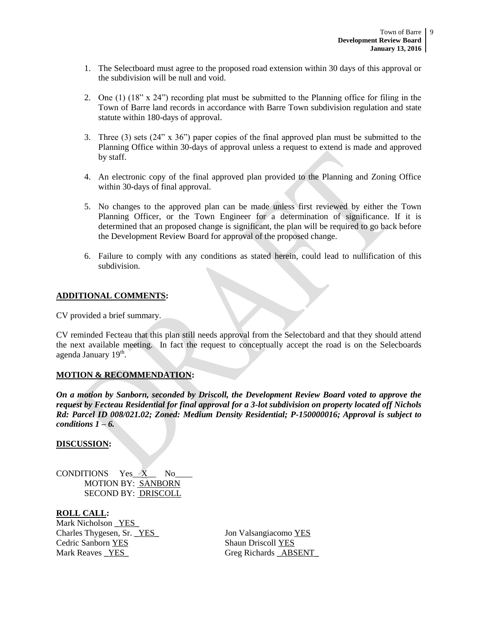- 1. The Selectboard must agree to the proposed road extension within 30 days of this approval or the subdivision will be null and void.
- 2. One (1)  $(18" \times 24")$  recording plat must be submitted to the Planning office for filing in the Town of Barre land records in accordance with Barre Town subdivision regulation and state statute within 180-days of approval.
- 3. Three (3) sets (24" x 36") paper copies of the final approved plan must be submitted to the Planning Office within 30-days of approval unless a request to extend is made and approved by staff.
- 4. An electronic copy of the final approved plan provided to the Planning and Zoning Office within 30-days of final approval.
- 5. No changes to the approved plan can be made unless first reviewed by either the Town Planning Officer, or the Town Engineer for a determination of significance. If it is determined that an proposed change is significant, the plan will be required to go back before the Development Review Board for approval of the proposed change.
- 6. Failure to comply with any conditions as stated herein, could lead to nullification of this subdivision.

#### **ADDITIONAL COMMENTS:**

CV provided a brief summary.

CV reminded Fecteau that this plan still needs approval from the Selectobard and that they should attend the next available meeting. In fact the request to conceptually accept the road is on the Selecboards agenda January 19<sup>th</sup>.

#### **MOTION & RECOMMENDATION:**

*On a motion by Sanborn, seconded by Driscoll, the Development Review Board voted to approve the request by Fecteau Residential for final approval for a 3-lot subdivision on property located off Nichols Rd: Parcel ID 008/021.02; Zoned: Medium Density Residential; P-150000016; Approval is subject to conditions 1 – 6.* 

#### **DISCUSSION:**

CONDITIONS Yes $X$  No MOTION BY: SANBORN SECOND BY: DRISCOLL

#### **ROLL CALL:**

Mark Nicholson YES Charles Thygesen, Sr. <u>YES</u> Jon Valsangiacomo YES Cedric Sanborn YES Shaun Driscoll YES Mark Reaves \_YES\_ Greg Richards \_ABSENT\_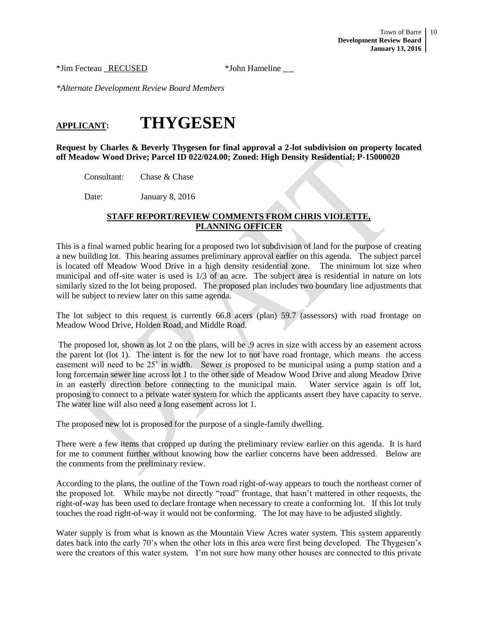\*Jim Fecteau RECUSED \*John Hameline

*\*Alternate Development Review Board Members*

### **APPLICANT: THYGESEN**

**Request by Charles & Beverly Thygesen for final approval a 2-lot subdivision on property located off Meadow Wood Drive; Parcel ID 022/024.00; Zoned: High Density Residential; P-15000020**

Consultant: Chase & Chase

Date: January 8, 2016

#### **STAFF REPORT/REVIEW COMMENTS FROM CHRIS VIOLETTE, PLANNING OFFICER**

This is a final warned public hearing for a proposed two lot subdivision of land for the purpose of creating a new building lot. This hearing assumes preliminary approval earlier on this agenda. The subject parcel is located off Meadow Wood Drive in a high density residential zone. The minimum lot size when municipal and off-site water is used is 1/3 of an acre. The subject area is residential in nature on lots similarly sized to the lot being proposed. The proposed plan includes two boundary line adjustments that will be subject to review later on this same agenda.

The lot subject to this request is currently 66.8 acers (plan) 59.7 (assessors) with road frontage on Meadow Wood Drive, Holden Road, and Middle Road.

The proposed lot, shown as lot 2 on the plans, will be .9 acres in size with access by an easement across the parent lot (lot 1). The intent is for the new lot to not have road frontage, which means the access easement will need to be 25' in width. Sewer is proposed to be municipal using a pump station and a long forcemain sewer line across lot 1 to the other side of Meadow Wood Drive and along Meadow Drive in an easterly direction before connecting to the municipal main. Water service again is off lot, proposing to connect to a private water system for which the applicants assert they have capacity to serve. The water line will also need a long easement across lot 1.

The proposed new lot is proposed for the purpose of a single-family dwelling.

There were a few items that cropped up during the preliminary review earlier on this agenda. It is hard for me to comment further without knowing how the earlier concerns have been addressed. Below are the comments from the preliminary review.

According to the plans, the outline of the Town road right-of-way appears to touch the northeast corner of the proposed lot. While maybe not directly "road" frontage, that hasn't mattered in other requests, the right-of-way has been used to declare frontage when necessary to create a conforming lot. If this lot truly touches the road right-of-way it would not be conforming. The lot may have to be adjusted slightly.

Water supply is from what is known as the Mountain View Acres water system. This system apparently dates back into the early 70's when the other lots in this area were first being developed. The Thygesen's were the creators of this water system. I'm not sure how many other houses are connected to this private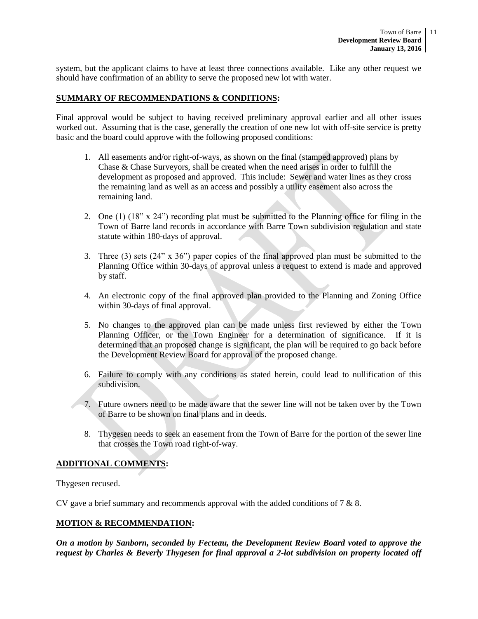system, but the applicant claims to have at least three connections available. Like any other request we should have confirmation of an ability to serve the proposed new lot with water.

#### **SUMMARY OF RECOMMENDATIONS & CONDITIONS:**

Final approval would be subject to having received preliminary approval earlier and all other issues worked out. Assuming that is the case, generally the creation of one new lot with off-site service is pretty basic and the board could approve with the following proposed conditions:

- 1. All easements and/or right-of-ways, as shown on the final (stamped approved) plans by Chase & Chase Surveyors, shall be created when the need arises in order to fulfill the development as proposed and approved. This include: Sewer and water lines as they cross the remaining land as well as an access and possibly a utility easement also across the remaining land.
- 2. One (1)  $(18" \times 24")$  recording plat must be submitted to the Planning office for filing in the Town of Barre land records in accordance with Barre Town subdivision regulation and state statute within 180-days of approval.
- 3. Three (3) sets (24" x 36") paper copies of the final approved plan must be submitted to the Planning Office within 30-days of approval unless a request to extend is made and approved by staff.
- 4. An electronic copy of the final approved plan provided to the Planning and Zoning Office within 30-days of final approval.
- 5. No changes to the approved plan can be made unless first reviewed by either the Town Planning Officer, or the Town Engineer for a determination of significance. If it is determined that an proposed change is significant, the plan will be required to go back before the Development Review Board for approval of the proposed change.
- 6. Failure to comply with any conditions as stated herein, could lead to nullification of this subdivision.
- 7. Future owners need to be made aware that the sewer line will not be taken over by the Town of Barre to be shown on final plans and in deeds.
- 8. Thygesen needs to seek an easement from the Town of Barre for the portion of the sewer line that crosses the Town road right-of-way.

#### **ADDITIONAL COMMENTS:**

Thygesen recused.

CV gave a brief summary and recommends approval with the added conditions of 7 & 8.

#### **MOTION & RECOMMENDATION:**

*On a motion by Sanborn, seconded by Fecteau, the Development Review Board voted to approve the request by Charles & Beverly Thygesen for final approval a 2-lot subdivision on property located off*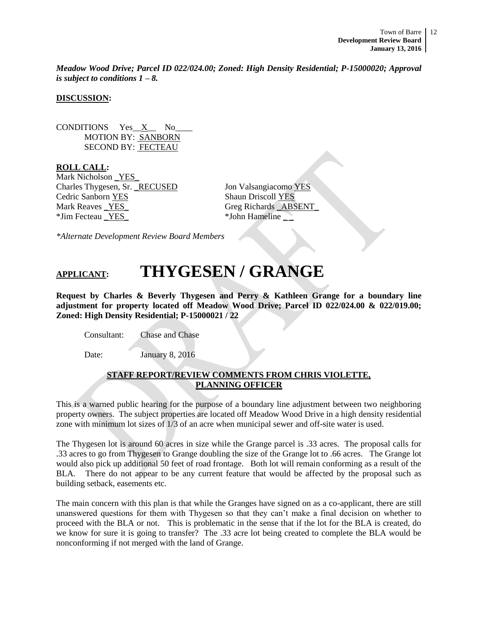*Meadow Wood Drive; Parcel ID 022/024.00; Zoned: High Density Residential; P-15000020; Approval is subject to conditions 1 – 8.*

**DISCUSSION:**

CONDITIONS Yes\_\_X\_\_ No\_\_\_\_ MOTION BY: SANBORN SECOND BY: FECTEAU

**ROLL CALL:** Mark Nicholson \_YES\_ Charles Thygesen, Sr. \_RECUSED Jon Valsangiacomo YES Cedric Sanborn YES Shaun Driscoll YES Mark Reaves <u>YES</u> Greg Richards **ABSENT** \*Jim Fecteau YES \*John Hameline

*\*Alternate Development Review Board Members*

## **APPLICANT: THYGESEN / GRANGE**

**Request by Charles & Beverly Thygesen and Perry & Kathleen Grange for a boundary line adjustment for property located off Meadow Wood Drive; Parcel ID 022/024.00 & 022/019.00; Zoned: High Density Residential; P-15000021 / 22**

Consultant: Chase and Chase

Date: January 8, 2016

#### **STAFF REPORT/REVIEW COMMENTS FROM CHRIS VIOLETTE, PLANNING OFFICER**

This is a warned public hearing for the purpose of a boundary line adjustment between two neighboring property owners. The subject properties are located off Meadow Wood Drive in a high density residential zone with minimum lot sizes of 1/3 of an acre when municipal sewer and off-site water is used.

The Thygesen lot is around 60 acres in size while the Grange parcel is .33 acres. The proposal calls for .33 acres to go from Thygesen to Grange doubling the size of the Grange lot to .66 acres. The Grange lot would also pick up additional 50 feet of road frontage. Both lot will remain conforming as a result of the BLA. There do not appear to be any current feature that would be affected by the proposal such as building setback, easements etc.

The main concern with this plan is that while the Granges have signed on as a co-applicant, there are still unanswered questions for them with Thygesen so that they can't make a final decision on whether to proceed with the BLA or not. This is problematic in the sense that if the lot for the BLA is created, do we know for sure it is going to transfer? The .33 acre lot being created to complete the BLA would be nonconforming if not merged with the land of Grange.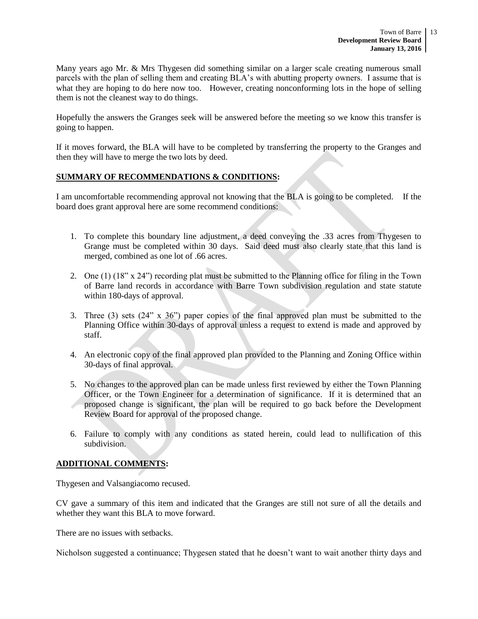Many years ago Mr. & Mrs Thygesen did something similar on a larger scale creating numerous small parcels with the plan of selling them and creating BLA's with abutting property owners. I assume that is what they are hoping to do here now too. However, creating nonconforming lots in the hope of selling them is not the cleanest way to do things.

Hopefully the answers the Granges seek will be answered before the meeting so we know this transfer is going to happen.

If it moves forward, the BLA will have to be completed by transferring the property to the Granges and then they will have to merge the two lots by deed.

#### **SUMMARY OF RECOMMENDATIONS & CONDITIONS:**

I am uncomfortable recommending approval not knowing that the BLA is going to be completed. If the board does grant approval here are some recommend conditions:

- 1. To complete this boundary line adjustment, a deed conveying the .33 acres from Thygesen to Grange must be completed within 30 days. Said deed must also clearly state that this land is merged, combined as one lot of .66 acres.
- 2. One (1) (18" x 24") recording plat must be submitted to the Planning office for filing in the Town of Barre land records in accordance with Barre Town subdivision regulation and state statute within 180-days of approval.
- 3. Three (3) sets (24" x 36") paper copies of the final approved plan must be submitted to the Planning Office within 30-days of approval unless a request to extend is made and approved by staff.
- 4. An electronic copy of the final approved plan provided to the Planning and Zoning Office within 30-days of final approval.
- 5. No changes to the approved plan can be made unless first reviewed by either the Town Planning Officer, or the Town Engineer for a determination of significance. If it is determined that an proposed change is significant, the plan will be required to go back before the Development Review Board for approval of the proposed change.
- 6. Failure to comply with any conditions as stated herein, could lead to nullification of this subdivision.

#### **ADDITIONAL COMMENTS:**

Thygesen and Valsangiacomo recused.

CV gave a summary of this item and indicated that the Granges are still not sure of all the details and whether they want this BLA to move forward.

There are no issues with setbacks.

Nicholson suggested a continuance; Thygesen stated that he doesn't want to wait another thirty days and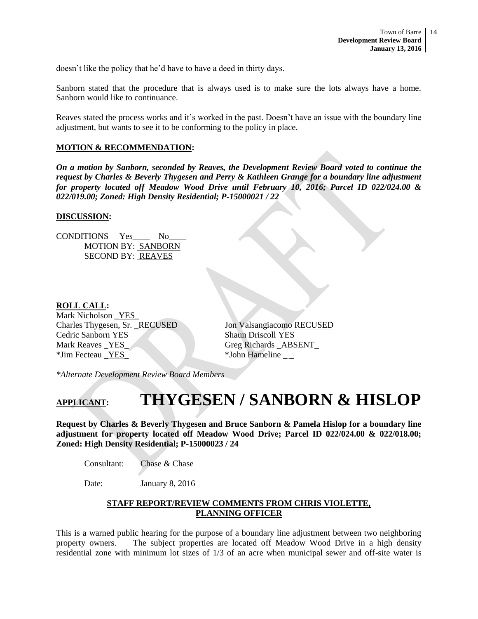doesn't like the policy that he'd have to have a deed in thirty days.

Sanborn stated that the procedure that is always used is to make sure the lots always have a home. Sanborn would like to continuance.

Reaves stated the process works and it's worked in the past. Doesn't have an issue with the boundary line adjustment, but wants to see it to be conforming to the policy in place.

#### **MOTION & RECOMMENDATION:**

*On a motion by Sanborn, seconded by Reaves, the Development Review Board voted to continue the request by Charles & Beverly Thygesen and Perry & Kathleen Grange for a boundary line adjustment for property located off Meadow Wood Drive until February 10, 2016; Parcel ID 022/024.00 & 022/019.00; Zoned: High Density Residential; P-15000021 / 22*

#### **DISCUSSION:**

CONDITIONS Yes No MOTION BY: SANBORN SECOND BY: REAVES

#### **ROLL CALL:**

Mark Nicholson YES Charles Thygesen, Sr. \_RECUSED Jon Valsangiacomo RECUSED **Cedric Sanborn YES** Shaun Driscoll YES Mark Reaves YES Greg Richards ABSENT \*Jim Fecteau \_YES\_ \*John Hameline \_ \_

*\*Alternate Development Review Board Members*

## **APPLICANT: THYGESEN / SANBORN & HISLOP**

**Request by Charles & Beverly Thygesen and Bruce Sanborn & Pamela Hislop for a boundary line adjustment for property located off Meadow Wood Drive; Parcel ID 022/024.00 & 022/018.00; Zoned: High Density Residential; P-15000023 / 24**

Consultant: Chase & Chase

Date: January 8, 2016

#### **STAFF REPORT/REVIEW COMMENTS FROM CHRIS VIOLETTE, PLANNING OFFICER**

This is a warned public hearing for the purpose of a boundary line adjustment between two neighboring property owners. The subject properties are located off Meadow Wood Drive in a high density residential zone with minimum lot sizes of 1/3 of an acre when municipal sewer and off-site water is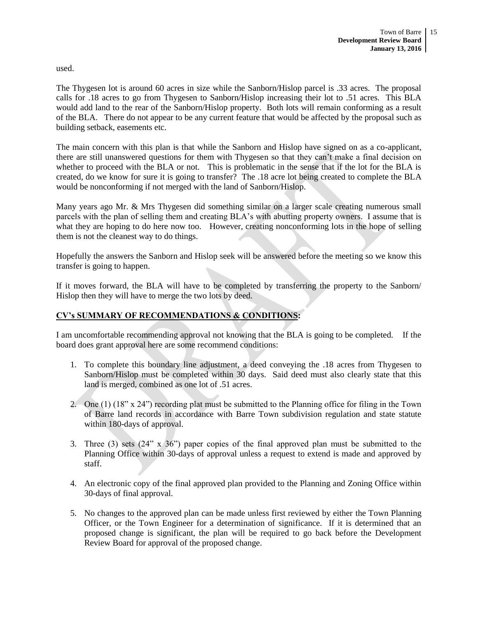used.

The Thygesen lot is around 60 acres in size while the Sanborn/Hislop parcel is .33 acres. The proposal calls for .18 acres to go from Thygesen to Sanborn/Hislop increasing their lot to .51 acres. This BLA would add land to the rear of the Sanborn/Hislop property. Both lots will remain conforming as a result of the BLA. There do not appear to be any current feature that would be affected by the proposal such as building setback, easements etc.

The main concern with this plan is that while the Sanborn and Hislop have signed on as a co-applicant, there are still unanswered questions for them with Thygesen so that they can't make a final decision on whether to proceed with the BLA or not. This is problematic in the sense that if the lot for the BLA is created, do we know for sure it is going to transfer? The .18 acre lot being created to complete the BLA would be nonconforming if not merged with the land of Sanborn/Hislop.

Many years ago Mr. & Mrs Thygesen did something similar on a larger scale creating numerous small parcels with the plan of selling them and creating BLA's with abutting property owners. I assume that is what they are hoping to do here now too. However, creating nonconforming lots in the hope of selling them is not the cleanest way to do things.

Hopefully the answers the Sanborn and Hislop seek will be answered before the meeting so we know this transfer is going to happen.

If it moves forward, the BLA will have to be completed by transferring the property to the Sanborn/ Hislop then they will have to merge the two lots by deed.

#### **CV's SUMMARY OF RECOMMENDATIONS & CONDITIONS:**

I am uncomfortable recommending approval not knowing that the BLA is going to be completed. If the board does grant approval here are some recommend conditions:

- 1. To complete this boundary line adjustment, a deed conveying the .18 acres from Thygesen to Sanborn/Hislop must be completed within 30 days. Said deed must also clearly state that this land is merged, combined as one lot of .51 acres.
- 2. One (1) (18" x 24") recording plat must be submitted to the Planning office for filing in the Town of Barre land records in accordance with Barre Town subdivision regulation and state statute within 180-days of approval.
- 3. Three (3) sets (24" x 36") paper copies of the final approved plan must be submitted to the Planning Office within 30-days of approval unless a request to extend is made and approved by staff.
- 4. An electronic copy of the final approved plan provided to the Planning and Zoning Office within 30-days of final approval.
- 5. No changes to the approved plan can be made unless first reviewed by either the Town Planning Officer, or the Town Engineer for a determination of significance. If it is determined that an proposed change is significant, the plan will be required to go back before the Development Review Board for approval of the proposed change.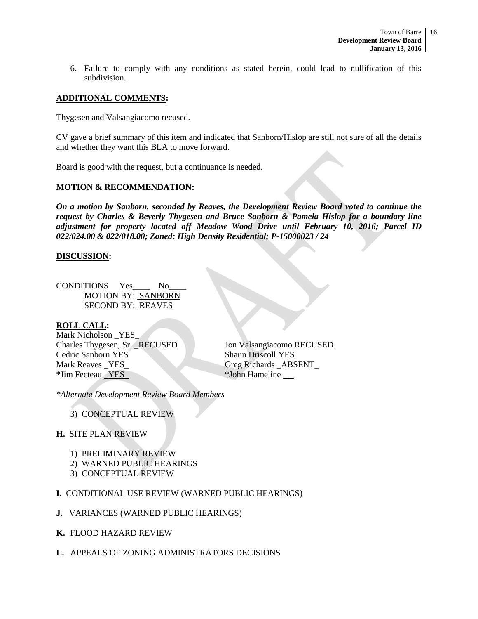6. Failure to comply with any conditions as stated herein, could lead to nullification of this subdivision.

#### **ADDITIONAL COMMENTS:**

Thygesen and Valsangiacomo recused.

CV gave a brief summary of this item and indicated that Sanborn/Hislop are still not sure of all the details and whether they want this BLA to move forward.

Board is good with the request, but a continuance is needed.

#### **MOTION & RECOMMENDATION:**

*On a motion by Sanborn, seconded by Reaves, the Development Review Board voted to continue the request by Charles & Beverly Thygesen and Bruce Sanborn & Pamela Hislop for a boundary line adjustment for property located off Meadow Wood Drive until February 10, 2016; Parcel ID 022/024.00 & 022/018.00; Zoned: High Density Residential; P-15000023 / 24*

#### **DISCUSSION:**

CONDITIONS Yes\_\_\_\_ No\_\_\_\_ MOTION BY: SANBORN SECOND BY: REAVES

#### **ROLL CALL:**

Mark Nicholson \_YES\_ Charles Thygesen, Sr. \_RECUSED Jon Valsangiacomo RECUSED **Cedric Sanborn YES** Shaun Driscoll YES Mark Reaves YES Greg Richards ABSENT \*Jim Fecteau YES \*John Hameline

*\*Alternate Development Review Board Members*

3) CONCEPTUAL REVIEW

#### **H.** SITE PLAN REVIEW

- 1) PRELIMINARY REVIEW
- 2) WARNED PUBLIC HEARINGS
- 3) CONCEPTUAL REVIEW

#### **I.** CONDITIONAL USE REVIEW (WARNED PUBLIC HEARINGS)

- **J.** VARIANCES (WARNED PUBLIC HEARINGS)
- **K.** FLOOD HAZARD REVIEW
- **L.** APPEALS OF ZONING ADMINISTRATORS DECISIONS